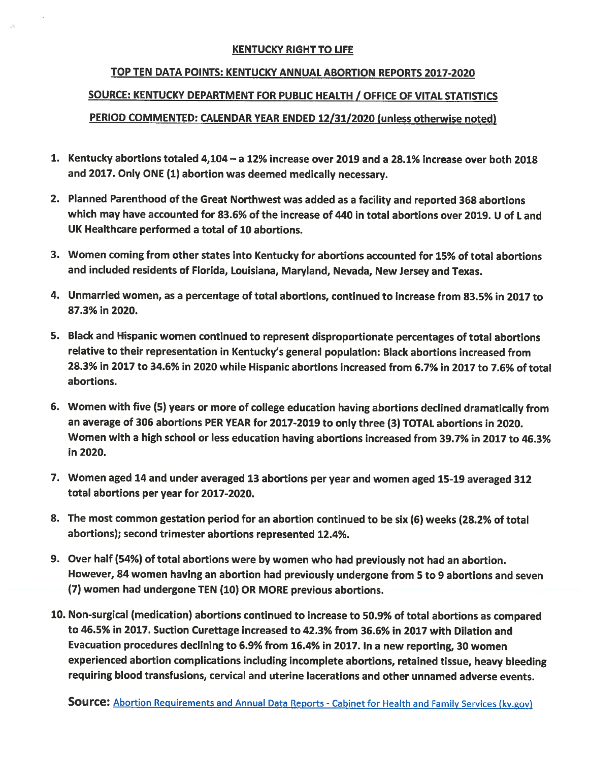## KENTUCKY RIGHT TO LIFE

## TOP TEN DATA POINTS: KENTUCKY ANNUAL ABORTION REPORTS 2017-2020 SOURCE: KENTUCKY DEPARTMENT FOR PUBLIC HEALTH / OFFICE OF VITAL STATISTICS PERIOD COMMENTED: CALENDAR YEAR ENDED 12/31/2020 (unless otherwise noted)

- 1. Kentucky abortions totaled 4,104— <sup>a</sup> 12% increase over 2019 and <sup>a</sup> 28.1% increase over both 2018 and 2017. Only ONE (1) abortion was deemed medically necessary.
- 2. Planned Parenthood of the Great Northwest was added as <sup>a</sup> facility and reported <sup>368</sup> abortions which may have accounted for 83.6% of the increase of 440 in total abortions over 2019. U of L and UK Healthcare performed <sup>a</sup> total of 10 abortions.
- 3. Women coming from other states into Kentucky for abortions accounted for 15% of total abortions and included residents of Florida, Louisiana, Maryland, Nevada, New Jersey and Texas.
- 4. Unmarried women, as <sup>a</sup> percentage of total abortions, continued to increase from 83.5% in 2017 to 87.3% in 2020.
- 5. Black and Hispanic women continued to represen<sup>t</sup> disproportionate percentages of total abortions relative to their representation in Kentucky's genera<sup>l</sup> population: Black abortions increased from 28.3% in 2017 to 34.6% in 2020 while Hispanic abortions increased from 6.7% in 2017 to 7.6% of total abortions.
- 6. Women with five (5) years or more of college education having abortions declined dramatically from an average of <sup>306</sup> abortions PER YEAR for 2017-2019 to only three (3) TOTAL abortions in 2020. Women with <sup>a</sup> high school or less education having abortions increased from 39.7% in 2017 to 46.3% in 2020.
- 7. Women age<sup>d</sup> <sup>14</sup> and under average<sup>d</sup> <sup>13</sup> abortions per year and women age<sup>d</sup> 15-19 average<sup>d</sup> <sup>312</sup> total abortions per year for 2017-2020.
- 8. The most common gestation period for an abortion continued to be six (6) weeks (28.2% of total abortions); second trimester abortions represented 12.4%.
- 9. Over half (54%) of total abortions were by women who had previously not had an abortion. However, <sup>84</sup> women having an abortion had previously undergone from <sup>5</sup> to <sup>9</sup> abortions and seven (7) women had undergone TEN (10) OR MORE previous abortions.
- 10. Non-surgical (medication) abortions continued to increase to 50.9% of total abortions as compare<sup>d</sup> to 46.5% in 2017. Suction Curettage increased to 42.3% from 36.6% in 2017 with Dilation and Evacuation procedures declining to 6.9% from 16.4% in 2017. In <sup>a</sup> new reporting, <sup>30</sup> women experienced abortion complications including incomplete abortions, retained tissue, heavy bleeding requiring blood transfusions, cervical and uterine lacerations and other unnamed adverse events.

**Source:** Abortion Requirements and Annual Data Reports - Cabinet for Health and Family Services (ky.gov)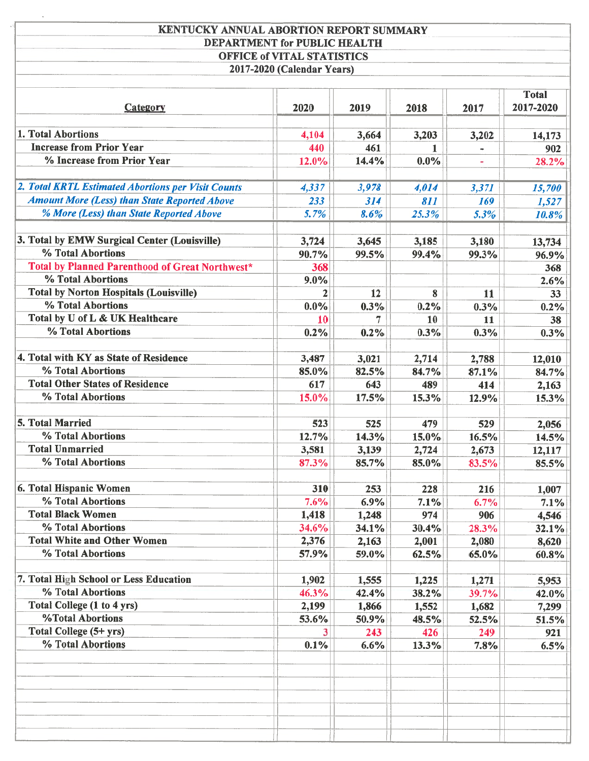| <b>KENTUCKY ANNUAL ABORTION REPORT SUMMARY</b>              |                            |                |              |              |           |  |
|-------------------------------------------------------------|----------------------------|----------------|--------------|--------------|-----------|--|
| DEPARTMENT for PUBLIC HEALTH                                |                            |                |              |              |           |  |
| <b>OFFICE of VITAL STATISTICS</b>                           |                            |                |              |              |           |  |
|                                                             | 2017-2020 (Calendar Years) |                |              |              |           |  |
| <b>Total</b>                                                |                            |                |              |              |           |  |
| <b>Category</b>                                             | 2020                       | 2019           | 2018         | 2017         | 2017-2020 |  |
| 1. Total Abortions                                          | 4,104                      | 3,664          | 3,203        | 3,202        | 14,173    |  |
| <b>Increase from Prior Year</b>                             | 440                        | 461            | 1            |              | 902       |  |
| % Increase from Prior Year                                  | 12.0%                      | 14.4%          | $0.0\%$      |              | 28.2%     |  |
|                                                             |                            |                |              |              |           |  |
| 2. Total KRTL Estimated Abortions per Visit Counts          | 4,337                      | 3,978          | 4,014        | 3,371        | 15,700    |  |
| <b>Amount More (Less) than State Reported Above</b>         | 233                        | 314            | 811          | 169          | 1,527     |  |
| % More (Less) than State Reported Above                     | 5.7%                       | 8.6%           | 25.3%        | 5.3%         | 10.8%     |  |
| 3. Total by EMW Surgical Center (Louisville)                | 3,724                      | 3,645          | 3,185        | 3,180        | 13,734    |  |
| % Total Abortions                                           | 90.7%                      | 99.5%          | 99.4%        | 99.3%        | 96.9%     |  |
| Total by Planned Parenthood of Great Northwest*             | 368                        |                |              |              | 368       |  |
| % Total Abortions                                           | $9.0\%$                    |                |              |              | 2.6%      |  |
| <b>Total by Norton Hospitals (Louisville)</b>               | $\mathbf{2}$               | 12             | 8            | 11           | 33        |  |
| % Total Abortions                                           | $0.0\%$                    | 0.3%           | 0.2%         | 0.3%         | 0.2%      |  |
| Total by U of L & UK Healthcare                             | 10                         | 7              | 10           | 11           | 38        |  |
| % Total Abortions                                           | 0.2%                       | 0.2%           | 0.3%         | 0.3%         | 0.3%      |  |
|                                                             |                            |                |              |              |           |  |
| 4. Total with KY as State of Residence                      | 3,487                      | 3,021          | 2,714        | 2,788        | 12,010    |  |
| % Total Abortions                                           | 85.0%                      | 82.5%          | 84.7%        | 87.1%        | 84.7%     |  |
| <b>Total Other States of Residence</b><br>% Total Abortions | 617                        | 643            | 489          | 414          | 2,163     |  |
|                                                             | 15.0%                      | 17.5%          | 15.3%        | 12.9%        | 15.3%     |  |
| 5. Total Married                                            | 523                        | 525            | 479          | 529          | 2,056     |  |
| % Total Abortions                                           | 12.7%                      | 14.3%          | 15.0%        | 16.5%        | 14.5%     |  |
| <b>Total Unmarried</b>                                      | 3,581                      | 3,139          | 2,724        | 2,673        | 12,117    |  |
| % Total Abortions                                           | 87.3%                      | 85.7%          | 85.0%        | 83.5%        | 85.5%     |  |
| 6. Total Hispanic Women                                     | 310                        | 253            | 228          | 216          | 1,007     |  |
| % Total Abortions                                           | 7.6%                       | 6.9%           | 7.1%         | 6.7%         | 7.1%      |  |
| <b>Total Black Women</b>                                    | 1,418                      | 1,248          | 974          | 906          | 4,546     |  |
| % Total Abortions                                           | 34.6%                      | 34.1%          | 30.4%        | 28.3%        | 32.1%     |  |
| <b>Total White and Other Women</b>                          | 2,376                      | 2,163          | 2,001        | 2,080        | 8,620     |  |
| % Total Abortions                                           | 57.9%                      | 59.0%          | 62.5%        | 65.0%        | 60.8%     |  |
|                                                             |                            |                |              |              |           |  |
| 7. Total High School or Less Education<br>% Total Abortions | 1,902                      | 1,555          | 1,225        | 1,271        | 5,953     |  |
| Total College (1 to 4 yrs)                                  | 46.3%                      | 42.4%          | 38.2%        | 39.7%        | 42.0%     |  |
| <b>%Total Abortions</b>                                     | 2,199<br>53.6%             | 1,866<br>50.9% | 1,552        | 1,682        | 7,299     |  |
| Total College (5+ yrs)                                      | 3                          | 243            | 48.5%<br>426 | 52.5%<br>249 | 51.5%     |  |
| % Total Abortions                                           | 0.1%                       | 6.6%           | 13.3%        | 7.8%         | 921       |  |
|                                                             |                            |                |              |              | 6.5%      |  |
|                                                             |                            |                |              |              |           |  |
|                                                             |                            |                |              |              |           |  |
|                                                             |                            |                |              |              |           |  |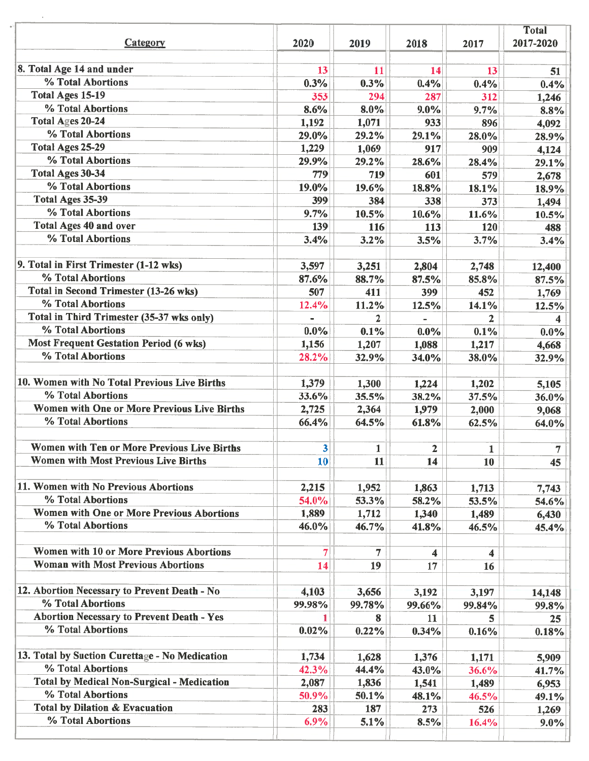|                                                   |         |                         |              |              | <b>Total</b>   |  |
|---------------------------------------------------|---------|-------------------------|--------------|--------------|----------------|--|
| <b>Category</b>                                   | 2020    | 2019                    | 2018         | 2017         | 2017-2020      |  |
| 8. Total Age 14 and under                         | 13      | 11                      | 14           | 13           | 51             |  |
| % Total Abortions                                 | 0.3%    | 0.3%                    | 0.4%         | 0.4%         | 0.4%           |  |
| <b>Total Ages 15-19</b>                           | 353     | 294                     | 287          | 312          | 1,246          |  |
| % Total Abortions                                 | 8.6%    | 8.0%                    | $9.0\%$      | 9.7%         | 8.8%           |  |
| Total Ages 20-24                                  | 1,192   | 1,071                   | 933          | 896          | 4,092          |  |
| % Total Abortions                                 | 29.0%   | 29.2%                   | 29.1%        | 28.0%        | 28.9%          |  |
| <b>Total Ages 25-29</b>                           | 1,229   | 1,069                   | 917          | 909          | 4,124          |  |
| % Total Abortions                                 | 29.9%   | 29.2%                   | 28.6%        | 28.4%        | 29.1%          |  |
| <b>Total Ages 30-34</b>                           | 779     | 719                     | 601          | 579          | 2,678          |  |
| % Total Abortions                                 | 19.0%   | 19.6%                   | 18.8%        | 18.1%        | 18.9%          |  |
| <b>Total Ages 35-39</b>                           | 399     | 384                     | 338          | 373          | 1,494          |  |
| % Total Abortions                                 | 9.7%    | 10.5%                   | 10.6%        | 11.6%        | 10.5%          |  |
| Total Ages 40 and over                            | 139     | 116                     | 113          | 120          | 488            |  |
| % Total Abortions                                 | 3.4%    | 3.2%                    | 3.5%         | 3.7%         | 3.4%           |  |
| 9. Total in First Trimester (1-12 wks)            | 3,597   | 3,251                   | 2,804        | 2,748        | 12,400         |  |
| % Total Abortions                                 | 87.6%   | 88.7%                   | 87.5%        | 85.8%        | 87.5%          |  |
| Total in Second Trimester (13-26 wks)             | 507     | 411                     | 399          | 452          | 1,769          |  |
| % Total Abortions                                 | 12.4%   | 11.2%                   | 12.5%        | 14.1%        | 12.5%          |  |
| Total in Third Trimester (35-37 wks only)         |         | $\overline{\mathbf{2}}$ |              | 2            |                |  |
| % Total Abortions                                 | $0.0\%$ | 0.1%                    | $0.0\%$      | 0.1%         | 0.0%           |  |
| <b>Most Frequent Gestation Period (6 wks)</b>     | 1,156   | 1,207                   | 1,088        | 1,217        | 4,668          |  |
| % Total Abortions                                 | 28.2%   | 32.9%                   | 34.0%        | 38.0%        | 32.9%          |  |
| 10. Women with No Total Previous Live Births      | 1,379   | 1,300                   | 1,224        | 1,202        | 5,105          |  |
| % Total Abortions                                 | 33.6%   | 35.5%                   | 38.2%        | 37.5%        | 36.0%          |  |
| Women with One or More Previous Live Births       | 2,725   | 2,364                   | 1,979        | 2,000        | 9,068          |  |
| % Total Abortions                                 | 66.4%   | 64.5%                   | 61.8%        | 62.5%        | 64.0%          |  |
| Women with Ten or More Previous Live Births       | 3       | 1                       | $\mathbf{2}$ | $\mathbf{1}$ | $\overline{7}$ |  |
| <b>Women with Most Previous Live Births</b>       | 10      | 11                      | 14           | 10           | 45             |  |
| 11. Women with No Previous Abortions              | 2,215   | 1,952                   | 1,863        | 1,713        | 7,743          |  |
| % Total Abortions                                 | 54.0%   | 53.3%                   | 58.2%        | 53.5%        | 54.6%          |  |
| <b>Women with One or More Previous Abortions</b>  | 1,889   | 1,712                   | 1,340        | 1,489        | 6,430          |  |
| % Total Abortions                                 | 46.0%   | 46.7%                   | 41.8%        | 46.5%        | 45.4%          |  |
| <b>Women with 10 or More Previous Abortions</b>   |         | 7                       | 4            | 4            |                |  |
| <b>Woman with Most Previous Abortions</b>         | 14      | 19                      | 17           | 16           |                |  |
| 12. Abortion Necessary to Prevent Death - No      | 4,103   | 3,656                   | 3,192        | 3,197        | 14,148         |  |
| % Total Abortions                                 | 99.98%  | 99.78%                  | 99.66%       | 99.84%       | 99.8%          |  |
| <b>Abortion Necessary to Prevent Death - Yes</b>  |         | 8                       | 11           | 5            | 25             |  |
| % Total Abortions                                 | 0.02%   | 0.22%                   | 0.34%        | 0.16%        | 0.18%          |  |
| 13. Total by Suction Curettage - No Medication    | 1,734   | 1,628                   | 1,376        | 1,171        | 5,909          |  |
| % Total Abortions                                 | 42.3%   | 44.4%                   | 43.0%        | 36.6%        | 41.7%          |  |
| <b>Total by Medical Non-Surgical - Medication</b> | 2,087   | 1,836                   | 1,541        | 1,489        | 6,953          |  |
| % Total Abortions                                 | 50.9%   | 50.1%                   | 48.1%        | 46.5%        | 49.1%          |  |
| <b>Total by Dilation &amp; Evacuation</b>         | 283     | 187                     | 273          | 526          | 1,269          |  |
| % Total Abortions                                 | 6.9%    | 5.1%                    | 8.5%         | 16.4%        | 9.0%           |  |